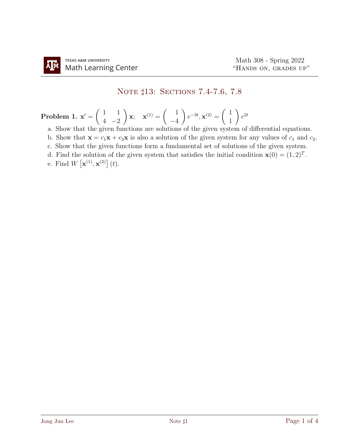# NOTE  $\sharp 13:$  SECTIONS 7.4-7.6, 7.8

#### Problem 1.  $\mathbf{x}' = \begin{pmatrix} 1 & 1 \\ 1 & 0 \end{pmatrix}$  $4 -2$  $\setminus$  $\mathbf{x}$ ;  $\mathbf{x}^{(1)} = \begin{pmatrix} 1 \\ 1 \end{pmatrix}$ −4  $\setminus$  $e^{-3t}, \mathbf{x}^{(2)} = \begin{pmatrix} 1 \\ 1 \end{pmatrix}$ 1  $\setminus$  $e^{2t}$

- a. Show that the given functions are solutions of the given system of differential equations.
- b. Show that  $\mathbf{x} = c_1 \mathbf{x} + c_2 \mathbf{x}$  is also a solution of the given system for any values of  $c_1$  and  $c_2$ .
- c. Show that the given functions form a fundamental set of solutions of the given system.
- d. Find the solution of the given system that satisfies the initial condition  $\mathbf{x}(0) = (1, 2)^T$ .
- e. Find  $W\left[\mathbf{x}^{(1)},\mathbf{x}^{(2)}\right](t)$ .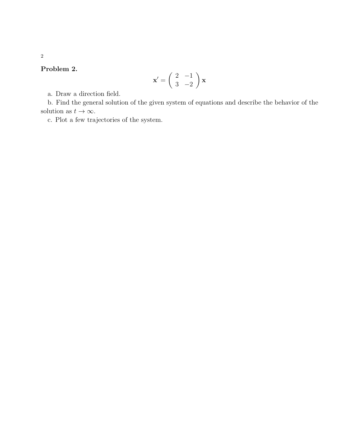## Problem 2.

$$
\mathbf{x}' = \begin{pmatrix} 2 & -1 \\ 3 & -2 \end{pmatrix} \mathbf{x}
$$

a. Draw a direction field.

b. Find the general solution of the given system of equations and describe the behavior of the solution as  $t \to \infty$ .

c. Plot a few trajectories of the system.

2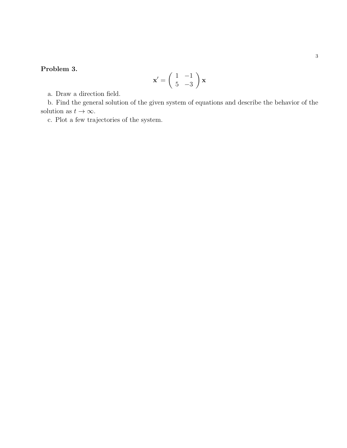## Problem 3.

$$
\mathbf{x}' = \begin{pmatrix} 1 & -1 \\ 5 & -3 \end{pmatrix} \mathbf{x}
$$

a. Draw a direction field.

b. Find the general solution of the given system of equations and describe the behavior of the solution as  $t \to \infty$ .

c. Plot a few trajectories of the system.